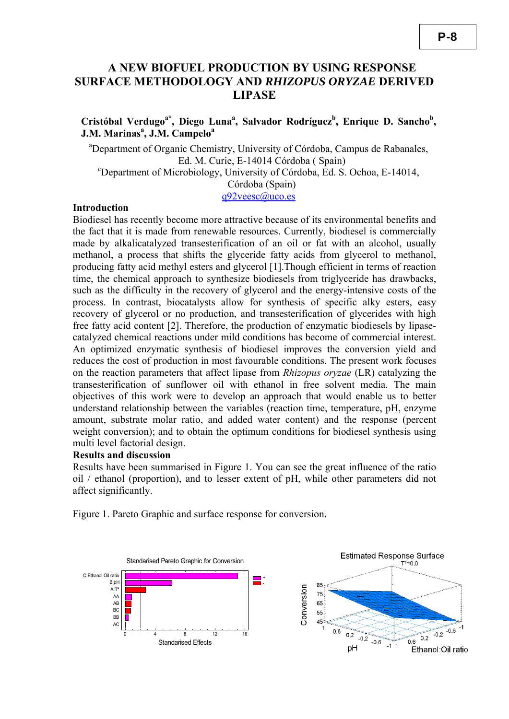# **A NEW BIOFUEL PRODUCTION BY USING RESPONSE SURFACE METHODOLOGY AND** *RHIZOPUS ORYZAE* **DERIVED LIPASE**

Cristóbal Verdugo<sup>a\*</sup>, Diego Luna<sup>a</sup>, Salvador Rodríguez<sup>b</sup>, Enrique D. Sancho<sup>b</sup>, **J.M. Marinas<sup>a</sup> , J.M. Campelo<sup>a</sup>**

<sup>a</sup>Department of Organic Chemistry, University of Córdoba, Campus de Rabanales, Ed. M. Curie, E-14014 Córdoba (Spain) Department of Microbiology, University of Córdoba, Ed. S. Ochoa, E-14014, Córdoba (Spain) q92veesc@uco.es

Biodiesel has recently become more attractive because of its environmental benefits and

the fact that it is made from renewable resources. Currently, biodiesel is commercially made by alkalicatalyzed transesterification of an oil or fat with an alcohol, usually methanol, a process that shifts the glyceride fatty acids from glycerol to methanol, producing fatty acid methyl esters and glycerol [1].Though efficient in terms of reaction time, the chemical approach to synthesize biodiesels from triglyceride has drawbacks, such as the difficulty in the recovery of glycerol and the energy-intensive costs of the process. In contrast, biocatalysts allow for synthesis of specific alky esters, easy recovery of glycerol or no production, and transesterification of glycerides with high free fatty acid content [2]. Therefore, the production of enzymatic biodiesels by lipasecatalyzed chemical reactions under mild conditions has become of commercial interest. An optimized enzymatic synthesis of biodiesel improves the conversion yield and reduces the cost of production in most favourable conditions. The present work focuses on the reaction parameters that affect lipase from *Rhizopus oryzae* (LR) catalyzing the transesterification of sunflower oil with ethanol in free solvent media. The main objectives of this work were to develop an approach that would enable us to better understand relationship between the variables (reaction time, temperature, pH, enzyme amount, substrate molar ratio, and added water content) and the response (percent weight conversion); and to obtain the optimum conditions for biodiesel synthesis using multi level factorial design.

# **Results and discussion**

**Introduction** 

Results have been summarised in Figure 1. You can see the great influence of the ratio oil / ethanol (proportion), and to lesser extent of pH, while other parameters did not affect significantly.

Figure 1. Pareto Graphic and surface response for conversion**.**